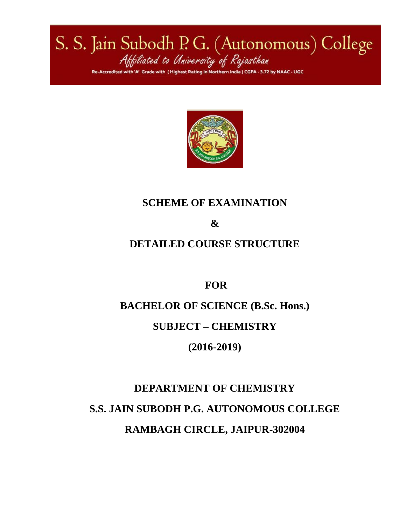S. S. Jain Subodh P. G. (Autonomous) College<br>Attiliated to University of Rajasthan est Rating in Northern India ) CGPA 3.72 by NAAC - UGC



## **SCHEME OF EXAMINATION**

**&**

## **DETAILED COURSE STRUCTURE**

**FOR**

**BACHELOR OF SCIENCE (B.Sc. Hons.)**

**SUBJECT – CHEMISTRY**

**(2016-2019)**

# **DEPARTMENT OF CHEMISTRY S.S. JAIN SUBODH P.G. AUTONOMOUS COLLEGE RAMBAGH CIRCLE, JAIPUR-302004**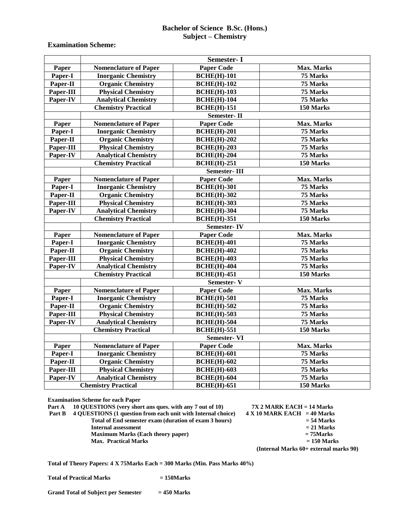#### **Bachelor of Science B.Sc. (Hons.) Subject – Chemistry**

#### **Examination Scheme:**

|           |                              | Semester-I          |            |
|-----------|------------------------------|---------------------|------------|
| Paper     | <b>Nomenclature of Paper</b> | <b>Paper Code</b>   | Max. Marks |
| Paper-I   | <b>Inorganic Chemistry</b>   | <b>BCHE(H)-101</b>  | 75 Marks   |
| Paper-II  | <b>Organic Chemistry</b>     | <b>BCHE(H)-102</b>  | 75 Marks   |
| Paper-III | <b>Physical Chemistry</b>    | <b>BCHE(H)-103</b>  | 75 Marks   |
| Paper-IV  | <b>Analytical Chemistry</b>  | <b>BCHE(H)-104</b>  | 75 Marks   |
|           | <b>Chemistry Practical</b>   | <b>BCHE(H)-151</b>  | 150 Marks  |
|           |                              | Semester-II         |            |
| Paper     | <b>Nomenclature of Paper</b> | <b>Paper Code</b>   | Max. Marks |
| Paper-I   | <b>Inorganic Chemistry</b>   | <b>BCHE(H)-201</b>  | 75 Marks   |
| Paper-II  | <b>Organic Chemistry</b>     | <b>BCHE(H)-202</b>  | 75 Marks   |
| Paper-III | <b>Physical Chemistry</b>    | <b>BCHE(H)-203</b>  | 75 Marks   |
| Paper-IV  | <b>Analytical Chemistry</b>  | <b>BCHE(H)-204</b>  | 75 Marks   |
|           | <b>Chemistry Practical</b>   | <b>BCHE(H)-251</b>  | 150 Marks  |
|           |                              | <b>Semester-III</b> |            |
| Paper     | <b>Nomenclature of Paper</b> | <b>Paper Code</b>   | Max. Marks |
| Paper-I   | <b>Inorganic Chemistry</b>   | <b>BCHE(H)-301</b>  | 75 Marks   |
| Paper-II  | <b>Organic Chemistry</b>     | <b>BCHE(H)-302</b>  | 75 Marks   |
| Paper-III | <b>Physical Chemistry</b>    | <b>BCHE(H)-303</b>  | 75 Marks   |
| Paper-IV  | <b>Analytical Chemistry</b>  | <b>BCHE(H)-304</b>  | 75 Marks   |
|           | <b>Chemistry Practical</b>   | <b>BCHE(H)-351</b>  | 150 Marks  |
|           |                              | <b>Semester-IV</b>  |            |
| Paper     | <b>Nomenclature of Paper</b> | <b>Paper Code</b>   | Max. Marks |
| Paper-I   | <b>Inorganic Chemistry</b>   | <b>BCHE(H)-401</b>  | 75 Marks   |
| Paper-II  | <b>Organic Chemistry</b>     | <b>BCHE(H)-402</b>  | 75 Marks   |
| Paper-III | <b>Physical Chemistry</b>    | <b>BCHE(H)-403</b>  | 75 Marks   |
| Paper-IV  | <b>Analytical Chemistry</b>  | <b>BCHE(H)-404</b>  | 75 Marks   |
|           | <b>Chemistry Practical</b>   | <b>BCHE(H)-451</b>  | 150 Marks  |
|           |                              | Semester-V          |            |
| Paper     | <b>Nomenclature of Paper</b> | <b>Paper Code</b>   | Max. Marks |
| Paper-I   | <b>Inorganic Chemistry</b>   | <b>BCHE(H)-501</b>  | 75 Marks   |
| Paper-II  | <b>Organic Chemistry</b>     | <b>BCHE(H)-502</b>  | 75 Marks   |
| Paper-III | <b>Physical Chemistry</b>    | <b>BCHE(H)-503</b>  | 75 Marks   |
| Paper-IV  | <b>Analytical Chemistry</b>  | <b>BCHE(H)-504</b>  | 75 Marks   |
|           | <b>Chemistry Practical</b>   | <b>BCHE(H)-551</b>  | 150 Marks  |
|           |                              | <b>Semester-VI</b>  |            |
| Paper     | <b>Nomenclature of Paper</b> | <b>Paper Code</b>   | Max. Marks |
| Paper-I   | <b>Inorganic Chemistry</b>   | <b>BCHE(H)-601</b>  | 75 Marks   |
| Paper-II  | <b>Organic Chemistry</b>     | <b>BCHE(H)-602</b>  | 75 Marks   |
| Paper-III | <b>Physical Chemistry</b>    | <b>BCHE(H)-603</b>  | 75 Marks   |
| Paper-IV  | <b>Analytical Chemistry</b>  | <b>BCHE(H)-604</b>  | 75 Marks   |
|           | <b>Chemistry Practical</b>   | <b>BCHE(H)-651</b>  | 150 Marks  |

**Examination Scheme for each Paper**

**Part A 10 QUESTIONS (very short ans ques. with any 7 out of 10) 7X 2 MARK EACH = 14 Marks**

**Part B 4 QUESTIONS** (1 question from each unit with Internal choice) **4 X** 10 MARK EACH = 40 Marks<br>Total of End semester exam (duration of exam 3 hours) = 54 Marks  **Total of End semester exam (duration of exam 3 hours)** = 54 Marks<br>Internal assessment = 21 Marks **Internal assessment**  $= 21$  Marks<br> **Maximum Marks** (Each theory paper)  $= 75$  Marks **Maximum Marks (Each theory paper)**  $= 75$ Marks  $= 150$  Marks  $= 150$  Marks **Max. Practical Marks** 

**(Internal Marks 60+ external marks 90)**

**Total of Theory Papers: 4 X 75Marks Each = 300 Marks (Min. Pass Marks 40%)**

**Total of Practical Marks = 150Marks**

**Grand Total of Subject per Semester = 450 Marks**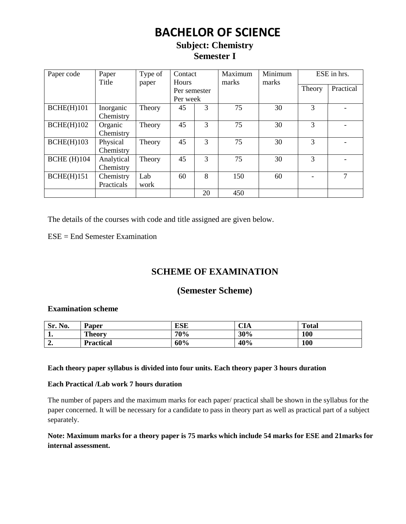## **BACHELOR OF SCIENCE**

## **Subject: Chemistry Semester I**

| Paper code         | Paper<br>Title | Type of<br>paper | Contact<br><b>Hours</b> |                | Maximum<br>marks | Minimum<br>marks |               | ESE in hrs. |
|--------------------|----------------|------------------|-------------------------|----------------|------------------|------------------|---------------|-------------|
|                    |                |                  | Per semester            |                |                  |                  | Theory        | Practical   |
|                    |                |                  | Per week                |                |                  |                  |               |             |
| BCHE(H)101         | Inorganic      | Theory           | 45                      | 3              | 75               | 30               | 3             |             |
|                    | Chemistry      |                  |                         |                |                  |                  |               |             |
| BCHE(H)102         | Organic        | Theory           | 45                      | 3              | 75               | 30               | 3             |             |
|                    | Chemistry      |                  |                         |                |                  |                  |               |             |
| BCHE(H)103         | Physical       | Theory           | 45                      | $\overline{3}$ | 75               | 30               | 3             |             |
|                    | Chemistry      |                  |                         |                |                  |                  |               |             |
| <b>BCHE</b> (H)104 | Analytical     | Theory           | 45                      | 3              | 75               | 30               | $\mathcal{F}$ |             |
|                    | Chemistry      |                  |                         |                |                  |                  |               |             |
| BCHE(H)151         | Chemistry      | Lab              | 60                      | 8              | 150              | 60               |               | 7           |
|                    | Practicals     | work             |                         |                |                  |                  |               |             |
|                    |                |                  |                         | 20             | 450              |                  |               |             |

The details of the courses with code and title assigned are given below.

ESE = End Semester Examination

## **SCHEME OF EXAMINATION**

## **(Semester Scheme)**

#### **Examination scheme**

| Sr. No. | Paper            | <b>ESE</b> | $\sim$ $\sim$<br>- UIA | <b>Total</b> |
|---------|------------------|------------|------------------------|--------------|
| . .     | <b>Theory</b>    | 70%        | 30%                    | 100          |
| ، د     | <b>Practical</b> | 60%        | 40%                    | 100          |

#### **Each theory paper syllabus is divided into four units. Each theory paper 3 hours duration**

#### **Each Practical /Lab work 7 hours duration**

The number of papers and the maximum marks for each paper/ practical shall be shown in the syllabus for the paper concerned. It will be necessary for a candidate to pass in theory part as well as practical part of a subject separately.

### **Note: Maximum marks for a theory paper is 75 marks which include 54 marks for ESE and 21marks for internal assessment.**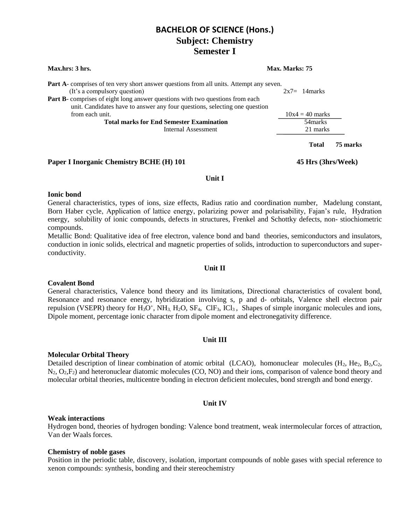| <b>Max.hrs: 3 hrs.</b>                                                                                                                                      | Max. Marks: 75 |                   |          |
|-------------------------------------------------------------------------------------------------------------------------------------------------------------|----------------|-------------------|----------|
| Part A- comprises of ten very short answer questions from all units. Attempt any seven.<br>(It's a compulsory question)                                     |                | $2x7=14$ marks    |          |
| Part B- comprises of eight long answer questions with two questions from each<br>unit. Candidates have to answer any four questions, selecting one question |                |                   |          |
| from each unit.                                                                                                                                             |                | $10x4 = 40$ marks |          |
| <b>Total marks for End Semester Examination</b>                                                                                                             |                | 54 marks          |          |
| Internal Assessment                                                                                                                                         |                | 21 marks          |          |
|                                                                                                                                                             |                | <b>Total</b>      | 75 marks |

**Paper I Inorganic Chemistry BCHE (H) 101 45 Hrs (3hrs/Week)**

#### **Unit I**

#### **Ionic bond**

General characteristics, types of ions, size effects, Radius ratio and coordination number, Madelung constant, Born Haber cycle, Application of lattice energy, polarizing power and polarisability, Fajan's rule, Hydration energy, solubility of ionic compounds, defects in structures, Frenkel and Schottky defects, non- stiochiometric compounds.

Metallic Bond: Qualitative idea of free electron, valence bond and band theories, semiconductors and insulators, conduction in ionic solids, electrical and magnetic properties of solids, introduction to superconductors and superconductivity.

#### **Unit II**

#### **Covalent Bond**

General characteristics, Valence bond theory and its limitations, Directional characteristics of covalent bond, Resonance and resonance energy, hybridization involving s, p and d- orbitals, Valence shell electron pair repulsion (VSEPR) theory for  $H_3O^+$ , NH<sub>3,</sub> H<sub>2</sub>O, SF<sub>4</sub>, ClF<sub>3</sub>, ICl<sub>3</sub>, Shapes of simple inorganic molecules and ions, Dipole moment, percentage ionic character from dipole moment and electronegativity difference.

#### **Unit III**

#### **Molecular Orbital Theory**

Detailed description of linear combination of atomic orbital (LCAO), homonuclear molecules (H<sub>2</sub>, He<sub>2</sub>, B<sub>2</sub>,C<sub>2</sub>, N2, O2,F2) and heteronuclear diatomic molecules (CO, NO) and their ions, comparison of valence bond theory and molecular orbital theories, multicentre bonding in electron deficient molecules, bond strength and bond energy.

#### **Unit IV**

#### **Weak interactions**

Hydrogen bond, theories of hydrogen bonding: Valence bond treatment, weak intermolecular forces of attraction, Van der Waals forces.

#### **Chemistry of noble gases**

Position in the periodic table, discovery, isolation, important compounds of noble gases with special reference to xenon compounds: synthesis, bonding and their stereochemistry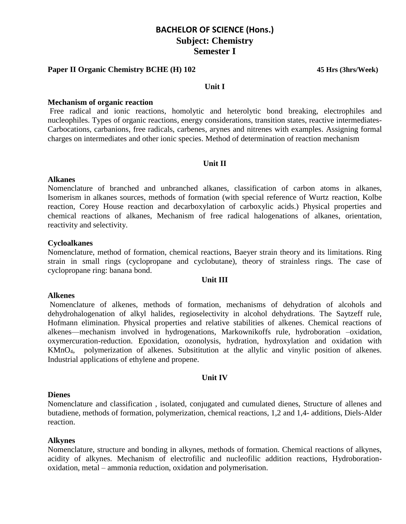#### **Paper II Organic Chemistry BCHE (H) 102 45 Hrs (3hrs/Week)**

#### **Unit I**

#### **Mechanism of organic reaction**

Free radical and ionic reactions, homolytic and heterolytic bond breaking, electrophiles and nucleophiles. Types of organic reactions, energy considerations, transition states, reactive intermediates-Carbocations, carbanions, free radicals, carbenes, arynes and nitrenes with examples. Assigning formal charges on intermediates and other ionic species. Method of determination of reaction mechanism

#### **Unit II**

#### **Alkanes**

Nomenclature of branched and unbranched alkanes, classification of carbon atoms in alkanes, Isomerism in alkanes sources, methods of formation (with special reference of Wurtz reaction, Kolbe reaction, Corey House reaction and decarboxylation of carboxylic acids.) Physical properties and chemical reactions of alkanes, Mechanism of free radical halogenations of alkanes, orientation, reactivity and selectivity.

#### **Cycloalkanes**

Nomenclature, method of formation, chemical reactions, Baeyer strain theory and its limitations. Ring strain in small rings (cyclopropane and cyclobutane), theory of strainless rings. The case of cyclopropane ring: banana bond.

#### **Unit III**

#### **Alkenes**

Nomenclature of alkenes, methods of formation, mechanisms of dehydration of alcohols and dehydrohalogenation of alkyl halides, regioselectivity in alcohol dehydrations. The Saytzeff rule, Hofmann elimination. Physical properties and relative stabilities of alkenes. Chemical reactions of alkenes—mechanism involved in hydrogenations, Markownikoffs rule, hydroboration –oxidation, oxymercuration-reduction. Epoxidation, ozonolysis, hydration, hydroxylation and oxidation with KMnO4, polymerization of alkenes. Subsititution at the allylic and vinylic position of alkenes. Industrial applications of ethylene and propene.

#### **Unit IV**

#### **Dienes**

Nomenclature and classification , isolated, conjugated and cumulated dienes, Structure of allenes and butadiene, methods of formation, polymerization, chemical reactions, 1,2 and 1,4- additions, Diels-Alder reaction.

#### **Alkynes**

Nomenclature, structure and bonding in alkynes, methods of formation. Chemical reactions of alkynes, acidity of alkynes. Mechanism of electrofilic and nucleofilic addition reactions, Hydroborationoxidation, metal – ammonia reduction, oxidation and polymerisation.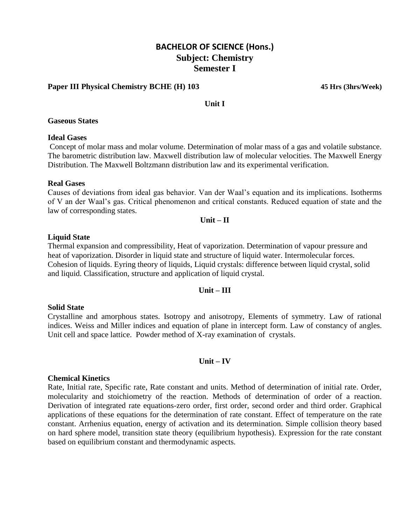#### **Paper III Physical Chemistry BCHE (H) 103 45 Hrs (3hrs/Week)**

#### **Unit I**

#### **Gaseous States**

#### **Ideal Gases**

Concept of molar mass and molar volume. Determination of molar mass of a gas and volatile substance. The barometric distribution law. Maxwell distribution law of molecular velocities. The Maxwell Energy Distribution. The Maxwell Boltzmann distribution law and its experimental verification.

#### **Real Gases**

Causes of deviations from ideal gas behavior. Van der Waal's equation and its implications. Isotherms of V an der Waal's gas. Critical phenomenon and critical constants. Reduced equation of state and the law of corresponding states.

#### **Unit – II**

#### **Liquid State**

Thermal expansion and compressibility, Heat of vaporization. Determination of vapour pressure and heat of vaporization. Disorder in liquid state and structure of liquid water. Intermolecular forces. Cohesion of liquids. Eyring theory of liquids, Liquid crystals: difference between liquid crystal, solid and liquid. Classification, structure and application of liquid crystal.

#### **Unit – III**

#### **Solid State**

Crystalline and amorphous states. Isotropy and anisotropy, Elements of symmetry. Law of rational indices. Weiss and Miller indices and equation of plane in intercept form. Law of constancy of angles. Unit cell and space lattice. Powder method of X-ray examination of crystals.

#### **Unit – IV**

#### **Chemical Kinetics**

Rate, Initial rate, Specific rate, Rate constant and units. Method of determination of initial rate. Order, molecularity and stoichiometry of the reaction. Methods of determination of order of a reaction. Derivation of integrated rate equations-zero order, first order, second order and third order. Graphical applications of these equations for the determination of rate constant. Effect of temperature on the rate constant. Arrhenius equation, energy of activation and its determination. Simple collision theory based on hard sphere model, transition state theory (equilibrium hypothesis). Expression for the rate constant based on equilibrium constant and thermodynamic aspects.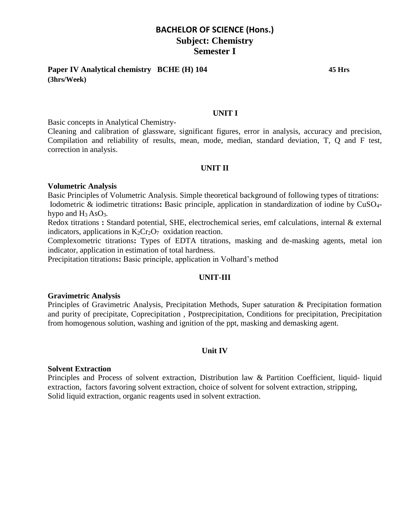**Paper IV Analytical chemistry BCHE (H) 104 45 Hrs (3hrs/Week)**

#### **UNIT I**

Basic concepts in Analytical Chemistry-

Cleaning and calibration of glassware, significant figures, error in analysis, accuracy and precision, Compilation and reliability of results, mean, mode, median, standard deviation, T, Q and F test, correction in analysis.

#### **UNIT II**

#### **Volumetric Analysis**

Basic Principles of Volumetric Analysis. Simple theoretical background of following types of titrations: Iodometric & iodimetric titrations**:** Basic principle, application in standardization of iodine by CuSO4 hypo and H3 AsO3*.*

Redox titrations **:** Standard potential, SHE, electrochemical series, emf calculations, internal & external indicators, applications in  $K_2Cr_2O_7$  oxidation reaction.

Complexometric titrations**:** Types of EDTA titrations, masking and de-masking agents, metal ion indicator, application in estimation of total hardness.

Precipitation titrations**:** Basic principle, application in Volhard's method

#### **UNIT-III**

#### **Gravimetric Analysis**

Principles of Gravimetric Analysis, Precipitation Methods, Super saturation & Precipitation formation and purity of precipitate, Coprecipitation , Postprecipitation, Conditions for precipitation, Precipitation from homogenous solution, washing and ignition of the ppt, masking and demasking agent.

#### **Unit IV**

#### **Solvent Extraction**

Principles and Process of solvent extraction, Distribution law & Partition Coefficient, liquid- liquid extraction, factors favoring solvent extraction, choice of solvent for solvent extraction, stripping, Solid liquid extraction, organic reagents used in solvent extraction.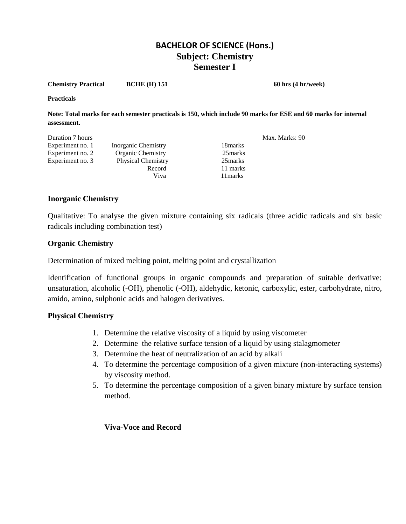**Chemistry Practical BCHE (H) 151 60 hrs (4 hr/week)**

**Practicals** 

**Note: Total marks for each semester practicals is 150, which include 90 marks for ESE and 60 marks for internal assessment.**

| Duration 7 hours |                           |          | Max. Marks: 90 |
|------------------|---------------------------|----------|----------------|
| Experiment no. 1 | Inorganic Chemistry       | 18 marks |                |
| Experiment no. 2 | Organic Chemistry         | 25 marks |                |
| Experiment no. 3 | <b>Physical Chemistry</b> | 25 marks |                |
|                  | Record                    | 11 marks |                |
|                  | Viva                      | 11 marks |                |

#### **Inorganic Chemistry**

Qualitative: To analyse the given mixture containing six radicals (three acidic radicals and six basic radicals including combination test)

#### **Organic Chemistry**

Determination of mixed melting point, melting point and crystallization

Identification of functional groups in organic compounds and preparation of suitable derivative: unsaturation, alcoholic (-OH), phenolic (-OH), aldehydic, ketonic, carboxylic, ester, carbohydrate, nitro, amido, amino, sulphonic acids and halogen derivatives.

#### **Physical Chemistry**

- 1. Determine the relative viscosity of a liquid by using viscometer
- 2. Determine the relative surface tension of a liquid by using stalagmometer
- 3. Determine the heat of neutralization of an acid by alkali
- 4. To determine the percentage composition of a given mixture (non-interacting systems) by viscosity method.
- 5. To determine the percentage composition of a given binary mixture by surface tension method.

#### **Viva**-**Voce and Record**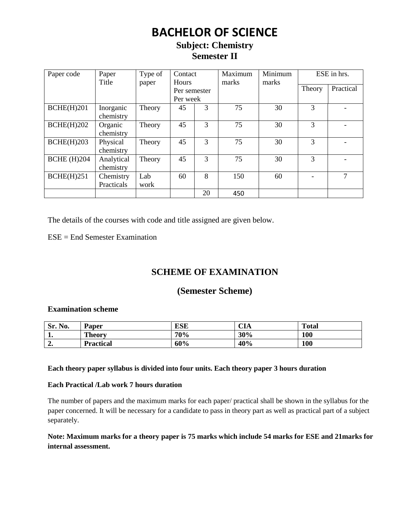## **BACHELOR OF SCIENCE**

## **Subject: Chemistry Semester II**

| Paper code         | Paper<br>Title | Type of<br>paper | Contact<br><b>Hours</b> |    | Maximum<br>marks | Minimum<br>marks |               | ESE in hrs. |
|--------------------|----------------|------------------|-------------------------|----|------------------|------------------|---------------|-------------|
|                    |                |                  | Per semester            |    |                  |                  | Theory        | Practical   |
|                    |                |                  | Per week                |    |                  |                  |               |             |
| BCHE(H)201         | Inorganic      | Theory           | 45                      | 3  | 75               | 30               | 3             |             |
|                    | chemistry      |                  |                         |    |                  |                  |               |             |
| BCHE(H)202         | Organic        | Theory           | 45                      | 3  | 75               | 30               | 3             |             |
|                    | chemistry      |                  |                         |    |                  |                  |               |             |
| BCHE(H)203         | Physical       | Theory           | 45                      | 3  | 75               | 30               | 3             |             |
|                    | chemistry      |                  |                         |    |                  |                  |               |             |
| <b>BCHE</b> (H)204 | Analytical     | Theory           | 45                      | 3  | 75               | 30               | $\mathcal{R}$ |             |
|                    | chemistry      |                  |                         |    |                  |                  |               |             |
| BCHE(H)251         | Chemistry      | Lab              | 60                      | 8  | 150              | 60               |               | 7           |
|                    | Practicals     | work             |                         |    |                  |                  |               |             |
|                    |                |                  |                         | 20 | 450              |                  |               |             |

The details of the courses with code and title assigned are given below.

ESE = End Semester Examination

## **SCHEME OF EXAMINATION**

## **(Semester Scheme)**

#### **Examination scheme**

| No.<br>Sr.  | <b>Paper</b>     | ESE | <b>CIA</b> | <b>Total</b> |
|-------------|------------------|-----|------------|--------------|
| . .         | <b>Theory</b>    | 70% | 30%        | 100          |
| $\sim$<br>" | <b>Practical</b> | 60% | 40%        | 100          |

#### **Each theory paper syllabus is divided into four units. Each theory paper 3 hours duration**

#### **Each Practical /Lab work 7 hours duration**

The number of papers and the maximum marks for each paper/ practical shall be shown in the syllabus for the paper concerned. It will be necessary for a candidate to pass in theory part as well as practical part of a subject separately.

#### **Note: Maximum marks for a theory paper is 75 marks which include 54 marks for ESE and 21marks for internal assessment.**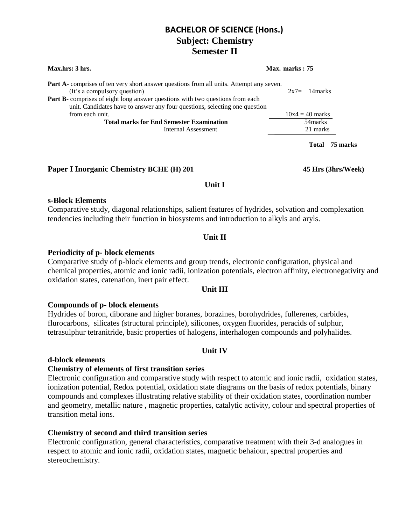| Max.hrs: 3 hrs.                                                                                                                                                                                                                                                                                      | Max. marks: 75     |  |  |
|------------------------------------------------------------------------------------------------------------------------------------------------------------------------------------------------------------------------------------------------------------------------------------------------------|--------------------|--|--|
| <b>Part A</b> -comprises of ten very short answer questions from all units. Attempt any seven.<br>(It's a compulsory question)<br><b>Part B-</b> comprises of eight long answer questions with two questions from each<br>unit. Candidates have to answer any four questions, selecting one question | $2x7=$<br>14 marks |  |  |
| from each unit.                                                                                                                                                                                                                                                                                      | $10x4 = 40$ marks  |  |  |
| <b>Total marks for End Semester Examination</b>                                                                                                                                                                                                                                                      | 54 marks           |  |  |
| Internal Assessment                                                                                                                                                                                                                                                                                  | 21 marks           |  |  |
|                                                                                                                                                                                                                                                                                                      | 75 marks<br>'Fotal |  |  |

#### **Paper I Inorganic Chemistry BCHE (H) 201 45 Hrs (3hrs/Week)**

#### **Unit I**

#### **s-Block Elements**

Comparative study, diagonal relationships, salient features of hydrides, solvation and complexation tendencies including their function in biosystems and introduction to alkyls and aryls.

#### **Unit II**

#### **Periodicity of p- block elements**

Comparative study of p-block elements and group trends, electronic configuration, physical and chemical properties, atomic and ionic radii, ionization potentials, electron affinity, electronegativity and oxidation states, catenation, inert pair effect.

#### **Unit III**

#### **Compounds of p- block elements**

Hydrides of boron, diborane and higher boranes, borazines, borohydrides, fullerenes, carbides, flurocarbons, silicates (structural principle), silicones, oxygen fluorides, peracids of sulphur, tetrasulphur tetranitride, basic properties of halogens, interhalogen compounds and polyhalides.

#### **Unit IV**

#### **d-block elements**

#### **Chemistry of elements of first transition series**

Electronic configuration and comparative study with respect to atomic and ionic radii, oxidation states, ionization potential, Redox potential, oxidation state diagrams on the basis of redox potentials, binary compounds and complexes illustrating relative stability of their oxidation states, coordination number and geometry, metallic nature , magnetic properties, catalytic activity, colour and spectral properties of transition metal ions.

#### **Chemistry of second and third transition series**

Electronic configuration, general characteristics, comparative treatment with their 3-d analogues in respect to atomic and ionic radii, oxidation states, magnetic behaiour, spectral properties and stereochemistry.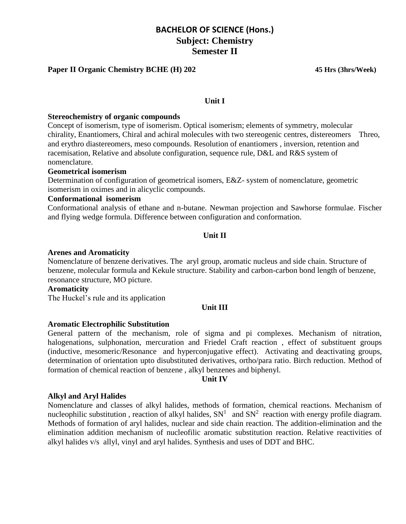#### **Paper II Organic Chemistry BCHE (H) 202 45 Hrs (3hrs/Week)**

#### **Unit I**

#### **Stereochemistry of organic compounds**

Concept of isomerism, type of isomerism. Optical isomerism; elements of symmetry, molecular chirality, Enantiomers, Chiral and achiral molecules with two stereogenic centres, distereomers Threo, and erythro diastereomers, meso compounds. Resolution of enantiomers , inversion, retention and racemisation, Relative and absolute configuration, sequence rule, D&L and R&S system of nomenclature.

#### **Geometrical isomerism**

Determination of configuration of geometrical isomers, E&Z- system of nomenclature, geometric isomerism in oximes and in alicyclic compounds.

#### **Conformational isomerism**

Conformational analysis of ethane and n-butane. Newman projection and Sawhorse formulae. Fischer and flying wedge formula. Difference between configuration and conformation.

#### **Unit II**

#### **Arenes and Aromaticity**

Nomenclature of benzene derivatives. The aryl group, aromatic nucleus and side chain. Structure of benzene, molecular formula and Kekule structure. Stability and carbon-carbon bond length of benzene, resonance structure, MO picture.

#### **Aromaticity**

The Huckel's rule and its application

#### **Unit III**

#### **Aromatic Electrophilic Substitution**

General pattern of the mechanism, role of sigma and pi complexes. Mechanism of nitration, halogenations, sulphonation, mercuration and Friedel Craft reaction , effect of substituent groups (inductive, mesomeric/Resonance and hyperconjugative effect). Activating and deactivating groups, determination of orientation upto disubstituted derivatives, ortho/para ratio. Birch reduction. Method of formation of chemical reaction of benzene , alkyl benzenes and biphenyl.

#### **Unit IV**

#### **Alkyl and Aryl Halides**

Nomenclature and classes of alkyl halides, methods of formation, chemical reactions. Mechanism of nucleophilic substitution, reaction of alkyl halides,  $SN<sup>1</sup>$  and  $SN<sup>2</sup>$  reaction with energy profile diagram. Methods of formation of aryl halides, nuclear and side chain reaction. The addition-elimination and the elimination addition mechanism of nucleofilic aromatic substitution reaction. Relative reactivities of alkyl halides v/s allyl, vinyl and aryl halides. Synthesis and uses of DDT and BHC.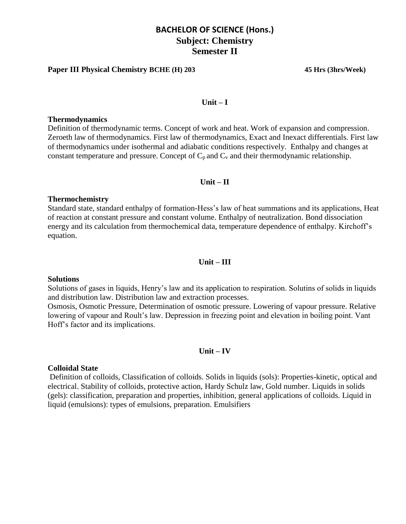#### **Paper III Physical Chemistry BCHE (H) 203 45 Hrs (3hrs/Week)**

#### **Unit – I**

#### **Thermodynamics**

Definition of thermodynamic terms. Concept of work and heat. Work of expansion and compression. Zeroeth law of thermodynamics. First law of thermodynamics, Exact and Inexact differentials. First law of thermodynamics under isothermal and adiabatic conditions respectively. Enthalpy and changes at constant temperature and pressure. Concept of  $C_p$  and  $C_v$  and their thermodynamic relationship.

#### **Unit – II**

#### **Thermochemistry**

Standard state, standard enthalpy of formation-Hess's law of heat summations and its applications, Heat of reaction at constant pressure and constant volume. Enthalpy of neutralization. Bond dissociation energy and its calculation from thermochemical data, temperature dependence of enthalpy. Kirchoff's equation.

#### **Unit – III**

#### **Solutions**

Solutions of gases in liquids, Henry's law and its application to respiration. Solutins of solids in liquids and distribution law. Distribution law and extraction processes.

Osmosis, Osmotic Pressure, Determination of osmotic pressure. Lowering of vapour pressure. Relative lowering of vapour and Roult's law. Depression in freezing point and elevation in boiling point. Vant Hoff's factor and its implications.

#### **Unit – IV**

#### **Colloidal State**

Definition of colloids, Classification of colloids. Solids in liquids (sols): Properties-kinetic, optical and electrical. Stability of colloids, protective action, Hardy Schulz law, Gold number. Liquids in solids (gels): classification, preparation and properties, inhibition, general applications of colloids. Liquid in liquid (emulsions): types of emulsions, preparation. Emulsifiers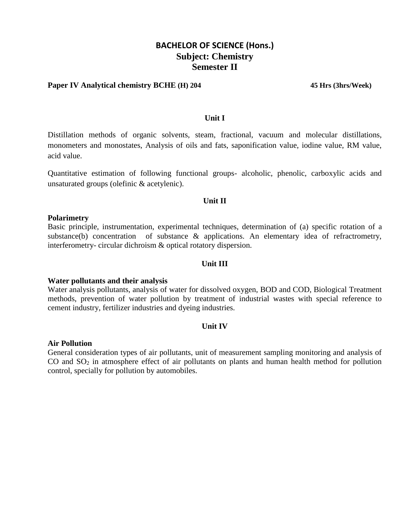#### **Paper IV Analytical chemistry BCHE (H) 204 45 Hrs (3hrs/Week)**

#### **Unit I**

Distillation methods of organic solvents, steam, fractional, vacuum and molecular distillations, monometers and monostates, Analysis of oils and fats, saponification value, iodine value, RM value, acid value.

Quantitative estimation of following functional groups- alcoholic, phenolic, carboxylic acids and unsaturated groups (olefinic & acetylenic).

#### **Unit II**

#### **Polarimetry**

Basic principle, instrumentation, experimental techniques, determination of (a) specific rotation of a substance(b) concentration of substance & applications. An elementary idea of refractrometry, interferometry- circular dichroism & optical rotatory dispersion.

#### **Unit III**

#### **Water pollutants and their analysis**

Water analysis pollutants, analysis of water for dissolved oxygen, BOD and COD, Biological Treatment methods, prevention of water pollution by treatment of industrial wastes with special reference to cement industry, fertilizer industries and dyeing industries.

#### **Unit IV**

#### **Air Pollution**

General consideration types of air pollutants, unit of measurement sampling monitoring and analysis of CO and  $SO<sub>2</sub>$  in atmosphere effect of air pollutants on plants and human health method for pollution control, specially for pollution by automobiles.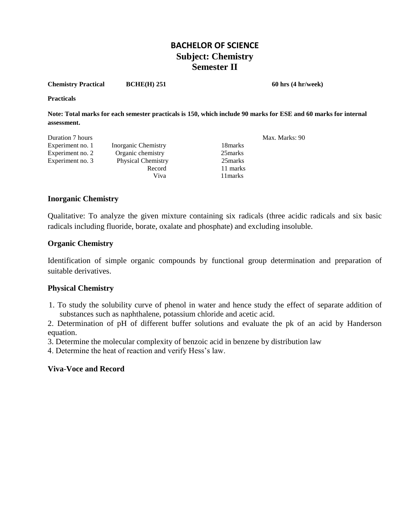**Chemistry Practical BCHE(H) 251** 60 hrs (4 hr/week)

**Practicals** 

**Note: Total marks for each semester practicals is 150, which include 90 marks for ESE and 60 marks for internal assessment.**

| Duration 7 hours |                           |          | Max. Marks: 90 |
|------------------|---------------------------|----------|----------------|
| Experiment no. 1 | Inorganic Chemistry       | 18 marks |                |
| Experiment no. 2 | Organic chemistry         | 25 marks |                |
| Experiment no. 3 | <b>Physical Chemistry</b> | 25 marks |                |
|                  | Record                    | 11 marks |                |
|                  | Viva                      | 11 marks |                |

#### **Inorganic Chemistry**

Qualitative: To analyze the given mixture containing six radicals (three acidic radicals and six basic radicals including fluoride, borate, oxalate and phosphate) and excluding insoluble.

#### **Organic Chemistry**

Identification of simple organic compounds by functional group determination and preparation of suitable derivatives.

#### **Physical Chemistry**

 1. To study the solubility curve of phenol in water and hence study the effect of separate addition of substances such as naphthalene, potassium chloride and acetic acid.

2. Determination of pH of different buffer solutions and evaluate the pk of an acid by Handerson equation.

3. Determine the molecular complexity of benzoic acid in benzene by distribution law

4. Determine the heat of reaction and verify Hess's law.

#### **Viva**-**Voce and Record**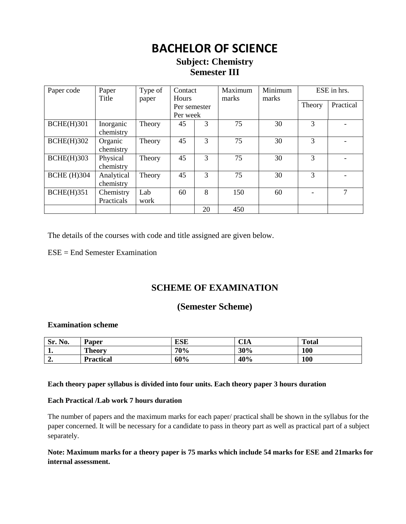## **BACHELOR OF SCIENCE**

## **Subject: Chemistry Semester III**

| Paper code         | Paper<br>Title          | Type of<br>paper | Contact<br><b>Hours</b>  |    | Maximum<br>marks | Minimum<br>marks |               | ESE in hrs. |
|--------------------|-------------------------|------------------|--------------------------|----|------------------|------------------|---------------|-------------|
|                    |                         |                  | Per semester<br>Per week |    |                  |                  | Theory        | Practical   |
| <b>BCHE(H)301</b>  | Inorganic<br>chemistry  | Theory           | 45                       | 3  | 75               | 30               | 3             |             |
| <b>BCHE(H)302</b>  | Organic<br>chemistry    | Theory           | 45                       | 3  | 75               | 30               | $\mathcal{R}$ |             |
| $BCHE(H)$ 303      | Physical<br>chemistry   | Theory           | 45                       | 3  | 75               | 30               | 3             |             |
| <b>BCHE</b> (H)304 | Analytical<br>chemistry | Theory           | 45                       | 3  | 75               | 30               | $\mathcal{R}$ |             |
| <b>BCHE(H)351</b>  | Chemistry<br>Practicals | Lab<br>work      | 60                       | 8  | 150              | 60               |               | 7           |
|                    |                         |                  |                          | 20 | 450              |                  |               |             |

The details of the courses with code and title assigned are given below.

 $ESE = End$  Semester Examination

## **SCHEME OF EXAMINATION**

### **(Semester Scheme)**

#### **Examination scheme**

| Sr. No. | Paper            | ESE | $\sim$ t $\,$<br>UА | <b>Total</b> |
|---------|------------------|-----|---------------------|--------------|
| л.      | <b>Theory</b>    | 70% | 30%                 | 100          |
| ە ب     | <b>Practical</b> | 60% | 40%                 | 100          |

#### **Each theory paper syllabus is divided into four units. Each theory paper 3 hours duration**

#### **Each Practical /Lab work 7 hours duration**

The number of papers and the maximum marks for each paper/ practical shall be shown in the syllabus for the paper concerned. It will be necessary for a candidate to pass in theory part as well as practical part of a subject separately.

**Note: Maximum marks for a theory paper is 75 marks which include 54 marks for ESE and 21marks for internal assessment.**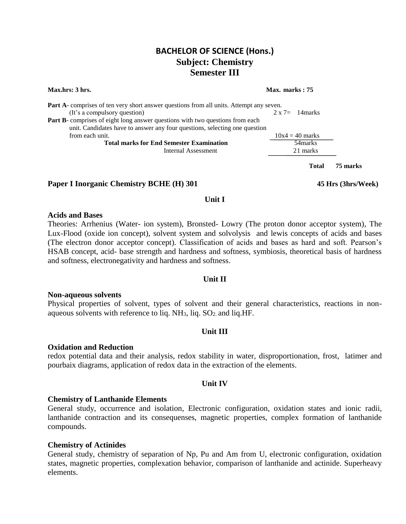#### **Max.hrs: 3 hrs.** Max. **marks : 75**

| <b>Part A</b> -comprises of ten very short answer questions from all units. Attempt any seven. |                         |
|------------------------------------------------------------------------------------------------|-------------------------|
| (It's a compulsory question)                                                                   | $2 \times 7 = 14$ marks |
| <b>Part B</b> -comprises of eight long answer questions with two questions from each           |                         |
| unit. Candidates have to answer any four questions, selecting one question                     |                         |
| from each unit.                                                                                | $10x4 = 40$ marks       |
| <b>Total marks for End Semester Examination</b>                                                | 54 marks                |
|                                                                                                |                         |
| Internal Assessment                                                                            | 21 marks                |

#### **Paper I Inorganic Chemistry BCHE (H) 301 45 Hrs (3hrs/Week)**

**Total 75 marks**

#### **Unit I**

#### **Acids and Bases**

Theories: Arrhenius (Water- ion system), Bronsted- Lowry (The proton donor acceptor system), The Lux-Flood (oxide ion concept), solvent system and solvolysis and lewis concepts of acids and bases (The electron donor acceptor concept). Classification of acids and bases as hard and soft. Pearson's HSAB concept, acid- base strength and hardness and softness, symbiosis, theoretical basis of hardness and softness, electronegativity and hardness and softness.

#### **Unit II**

#### **Non-aqueous solvents**

Physical properties of solvent, types of solvent and their general characteristics, reactions in nonaqueous solvents with reference to liq.  $NH<sub>3</sub>$ , liq.  $SO<sub>2</sub>$  and liq.HF.

#### **Unit III**

#### **Oxidation and Reduction**

redox potential data and their analysis, redox stability in water, disproportionation, frost, latimer and pourbaix diagrams, application of redox data in the extraction of the elements.

#### **Unit IV**

#### **Chemistry of Lanthanide Elements**

General study, occurrence and isolation, Electronic configuration, oxidation states and ionic radii, lanthanide contraction and its consequenses, magnetic properties, complex formation of lanthanide compounds.

#### **Chemistry of Actinides**

General study, chemistry of separation of Np, Pu and Am from U, electronic configuration, oxidation states, magnetic properties, complexation behavior, comparison of lanthanide and actinide. Superheavy elements.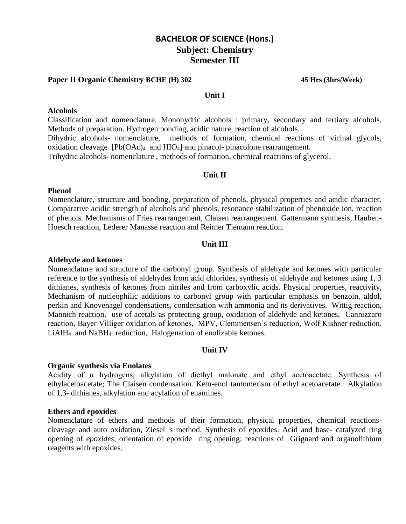#### **Paper II Organic Chemistry BCHE (H) 302 45 Hrs (3hrs/Week)**

#### **Unit I**

#### **Alcohols**

Classification and nomenclature. Monohydric alcohols : primary, secondary and tertiary alcohols, Methods of preparation. Hydrogen bonding, acidic nature, reaction of alcohols. Dihydric alcohols- nomenclature, methods of formation, chemical reactions of vicinal glycols, oxidation cleavage  $[Pb(OAc)_4]$  and  $HIO_4]$  and pinacol-pinacolone rearrangement. Trihydric alcohols- nomenclature , methods of formation, chemical reactions of glycerol.

#### **Unit II**

#### **Phenol**

Nomenclature, structure and bonding, preparation of phenols, physical properties and acidic character. Comparative acidic strength of alcohols and phenols, resonance stabilization of phenoxide ion, reaction of phenols. Mechanisms of Fries rearrangement, Claisen rearrangement. Gattermann synthesis, Hauben-Hoesch reaction, Lederer Manasse reaction and Reimer Tiemann reaction.

#### **Unit III**

#### **Aldehyde and ketones**

Nomenclature and structure of the carbonyl group. Synthesis of aldehyde and ketones with particular reference to the synthesis of aldehydes from acid chlorides, synthesis of aldehyde and ketones using 1, 3 dithianes, synthesis of ketones from nitriles and from carboxylic acids. Physical properties, reactivity, Mechanism of nucleophilic additions to carbonyl group with particular emphasis on benzoin, aldol, perkin and Knovenagel condensations, condensation with ammonia and its derivatives. Wittig reaction, Mannich reaction, use of acetals as protecting group, oxidation of aldehyde and ketones, Cannizzaro reaction, Bayer Villiger oxidation of ketones, MPV, Clemmensen's reduction, Wolf Kishner reduction, LiAlH4 and NaBH4 reduction, Halogenation of enolizable ketones.

#### **Unit IV**

#### **Organic synthesis via Enolates**

Acidity of α hydrogens, alkylation of diethyl malonate and ethyl acetoacetate. Synthesis of ethylacetoacetate; The Claisen condensation. Keto-enol tautomerism of ethyl acetoacetate. Alkylation of 1,3- dithianes, alkylation and acylation of enamines.

#### **Ethers and epoxides**

Nomenclature of ethers and methods of their formation, physical properties, chemical reactionscleavage and auto oxidation, Ziesel 's method. Synthesis of epoxides. Acid and base- catalyzed ring opening of *epoxides*, orientation of epoxide ring opening; reactions of Grignard and organolithium reagents with epoxides.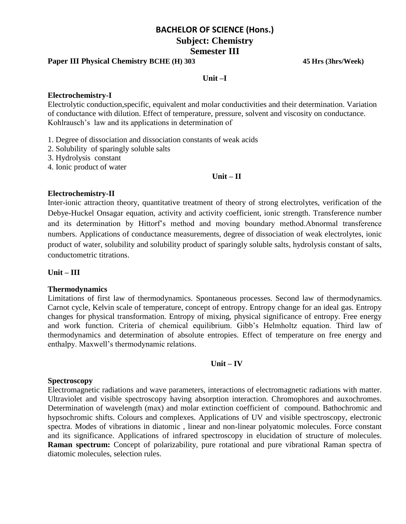#### **Paper III Physical Chemistry BCHE (H) 303 45 Hrs (3hrs/Week)**

#### **Unit –I**

#### **Electrochemistry-I**

Electrolytic conduction,specific, equivalent and molar conductivities and their determination. Variation of conductance with dilution. Effect of temperature, pressure, solvent and viscosity on conductance. Kohlrausch's law and its applications in determination of

- 1. Degree of dissociation and dissociation constants of weak acids
- 2. Solubility of sparingly soluble salts
- 3. Hydrolysis constant
- 4. Ionic product of water

#### **Unit – II**

#### **Electrochemistry-II**

Inter-ionic attraction theory, quantitative treatment of theory of strong electrolytes, verification of the Debye-Huckel Onsagar equation, activity and activity coefficient, ionic strength. Transference number and its determination by Hittorf's method and moving boundary method.Abnormal transference numbers. Applications of conductance measurements, degree of dissociation of weak electrolytes, ionic product of water, solubility and solubility product of sparingly soluble salts, hydrolysis constant of salts, conductometric titrations.

#### **Unit – III**

#### **Thermodynamics**

Limitations of first law of thermodynamics. Spontaneous processes. Second law of thermodynamics. Carnot cycle, Kelvin scale of temperature, concept of entropy. Entropy change for an ideal gas. Entropy changes for physical transformation. Entropy of mixing, physical significance of entropy. Free energy and work function. Criteria of chemical equilibrium. Gibb's Helmholtz equation. Third law of thermodynamics and determination of absolute entropies. Effect of temperature on free energy and enthalpy. Maxwell's thermodynamic relations.

#### **Unit – IV**

#### **Spectroscopy**

Electromagnetic radiations and wave parameters, interactions of electromagnetic radiations with matter. Ultraviolet and visible spectroscopy having absorption interaction. Chromophores and auxochromes. Determination of wavelength (max) and molar extinction coefficient of compound. Bathochromic and hypsochromic shifts. Colours and complexes. Applications of UV and visible spectroscopy, electronic spectra. Modes of vibrations in diatomic , linear and non-linear polyatomic molecules. Force constant and its significance. Applications of infrared spectroscopy in elucidation of structure of molecules. **Raman spectrum:** Concept of polarizability, pure rotational and pure vibrational Raman spectra of diatomic molecules, selection rules.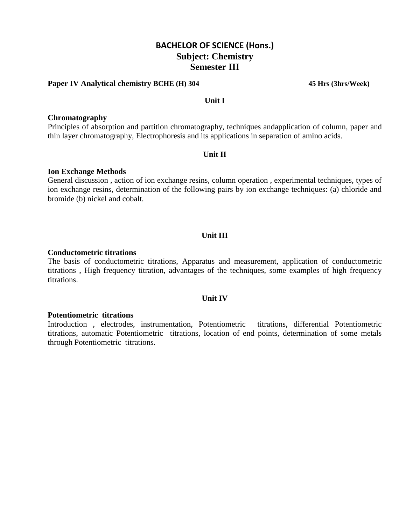#### **Paper IV Analytical chemistry BCHE (H) 304 45 Hrs (3hrs/Week)**

#### **Unit I**

#### **Chromatography**

Principles of absorption and partition chromatography, techniques andapplication of column, paper and thin layer chromatography, Electrophoresis and its applications in separation of amino acids.

#### **Unit II**

#### **Ion Exchange Methods**

General discussion , action of ion exchange resins, column operation , experimental techniques, types of ion exchange resins, determination of the following pairs by ion exchange techniques: (a) chloride and bromide (b) nickel and cobalt.

#### **Unit III**

#### **Conductometric titrations**

The basis of conductometric titrations, Apparatus and measurement, application of conductometric titrations , High frequency titration, advantages of the techniques, some examples of high frequency titrations.

#### **Unit IV**

#### **Potentiometric titrations**

Introduction , electrodes, instrumentation, Potentiometric titrations, differential Potentiometric titrations, automatic Potentiometric titrations, location of end points, determination of some metals through Potentiometric titrations.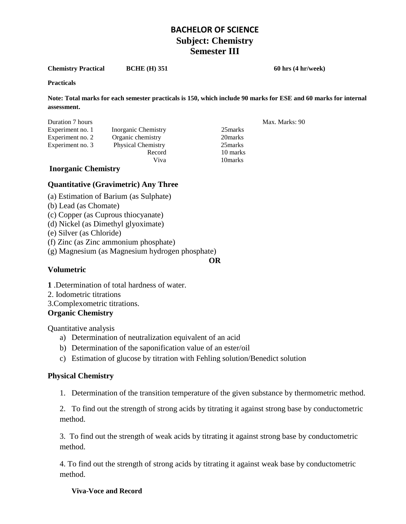**Chemistry Practical BCHE (H) 351 60 hrs (4 hr/week)** 

#### **Practicals**

**Note: Total marks for each semester practicals is 150, which include 90 marks for ESE and 60 marks for internal assessment.**

| Duration 7 hours |                           |          | Max. Marks: 90 |
|------------------|---------------------------|----------|----------------|
| Experiment no. 1 | Inorganic Chemistry       | 25 marks |                |
| Experiment no. 2 | Organic chemistry         | 20 marks |                |
| Experiment no. 3 | <b>Physical Chemistry</b> | 25 marks |                |
|                  | Record                    | 10 marks |                |
|                  | Viva                      | 10 marks |                |

#### **Inorganic Chemistry**

#### **Quantitative (Gravimetric) Any Three**

- (a) Estimation of Barium (as Sulphate)
- (b) Lead (as Chomate)
- (c) Copper (as Cuprous thiocyanate)
- (d) Nickel (as Dimethyl glyoximate)
- (e) Silver (as Chloride)
- (f) Zinc (as Zinc ammonium phosphate)
- (g) Magnesium (as Magnesium hydrogen phosphate)

#### **Volumetric**

**1** .Determination of total hardness of water.

- 2. Iodometric titrations
- 3.Complexometric titrations.

#### **Organic Chemistry**

Quantitative analysis

- a) Determination of neutralization equivalent of an acid
- b) Determination of the saponification value of an ester/oil
- c) Estimation of glucose by titration with Fehling solution/Benedict solution

#### **Physical Chemistry**

1. Determination of the transition temperature of the given substance by thermometric method.

2. To find out the strength of strong acids by titrating it against strong base by conductometric method.

3. To find out the strength of weak acids by titrating it against strong base by conductometric method.

4. To find out the strength of strong acids by titrating it against weak base by conductometric method.

#### **Viva**-**Voce and Record**

**OR**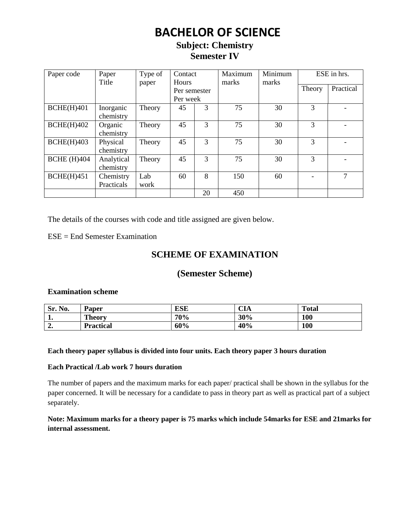## **BACHELOR OF SCIENCE**

## **Subject: Chemistry Semester IV**

| Paper code         | Paper<br>Title          | Type of<br>paper | Contact<br><b>Hours</b>  |    | Maximum<br>marks | Minimum<br>marks | ESE in hrs.   |           |
|--------------------|-------------------------|------------------|--------------------------|----|------------------|------------------|---------------|-----------|
|                    |                         |                  | Per semester<br>Per week |    |                  |                  | Theory        | Practical |
| BCHE(H)401         | Inorganic<br>chemistry  | Theory           | 45                       | 3  | 75               | 30               | 3             |           |
| BCHE(H)402         | Organic<br>chemistry    | Theory           | 45                       | 3  | 75               | 30               | 3             |           |
| BCHE(H)403         | Physical<br>chemistry   | Theory           | 45                       | 3  | 75               | 30               | $\mathcal{R}$ |           |
| <b>BCHE</b> (H)404 | Analytical<br>chemistry | Theory           | 45                       | 3  | 75               | 30               | $\mathcal{R}$ |           |
| BCHE(H)451         | Chemistry<br>Practicals | Lab<br>work      | 60                       | 8  | 150              | 60               |               | 7         |
|                    |                         |                  |                          | 20 | 450              |                  |               |           |

The details of the courses with code and title assigned are given below.

ESE = End Semester Examination

## **SCHEME OF EXAMINATION**

## **(Semester Scheme)**

#### **Examination scheme**

| No.<br>Sr. | Paper            | <b>ESE</b> | $\sim$ t $\,$<br>- UIA | <b>Total</b> |
|------------|------------------|------------|------------------------|--------------|
| . .        | <b>Theory</b>    | 70%        | 30%                    | 100          |
| Δ<br>ە ئە  | <b>Practical</b> | 60%        | 40%                    | 100          |

#### **Each theory paper syllabus is divided into four units. Each theory paper 3 hours duration**

#### **Each Practical /Lab work 7 hours duration**

The number of papers and the maximum marks for each paper/ practical shall be shown in the syllabus for the paper concerned. It will be necessary for a candidate to pass in theory part as well as practical part of a subject separately.

#### **Note: Maximum marks for a theory paper is 75 marks which include 54marks for ESE and 21marks for internal assessment.**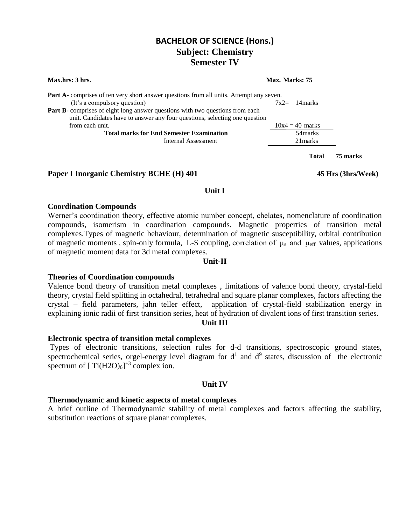### Part A- comprises of ten very short answer questions from all units. Attempt any seven. (It's a compulsory question)  $7x^2 = 14$ marks **Part B**- comprises of eight long answer questions with two questions from each unit. Candidates have to answer any four questions, selecting one question from each unit.  $10x4 = 40$  marks Total marks for End Semester Examination 54marks Internal Assessment 21marks **Total 75 marks**

**Max.hrs: 3 hrs.** Max. **Marks: 75** 

#### **Paper I Inorganic Chemistry BCHE (H) 401 45 Hrs (3hrs/Week)**

#### **Unit I**

#### **Coordination Compounds**

Werner's coordination theory, effective atomic number concept, chelates, nomenclature of coordination compounds, isomerism in coordination compounds. Magnetic properties of transition metal complexes.Types of magnetic behaviour, determination of magnetic susceptibility, orbital contribution of magnetic moments, spin-only formula, L-S coupling, correlation of  $\mu_s$  and  $\mu_{eff}$  values, applications of magnetic moment data for 3d metal complexes.

#### **Unit-II**

#### **Theories of Coordination compounds**

Valence bond theory of transition metal complexes , limitations of valence bond theory, crystal-field theory, crystal field splitting in octahedral, tetrahedral and square planar complexes, factors affecting the crystal – field parameters, jahn teller effect, application of crystal-field stabilization energy in explaining ionic radii of first transition series, heat of hydration of divalent ions of first transition series.

#### **Unit III**

#### **Electronic spectra of transition metal complexes**

Types of electronic transitions, selection rules for d-d transitions, spectroscopic ground states, spectrochemical series, orgel-energy level diagram for  $d<sup>1</sup>$  and  $d<sup>9</sup>$  states, discussion of the electronic spectrum of  $[ Ti(H2O)<sub>6</sub>]<sup>+3</sup>$  complex ion.

#### **Unit IV**

#### **Thermodynamic and kinetic aspects of metal complexes**

A brief outline of Thermodynamic stability of metal complexes and factors affecting the stability, substitution reactions of square planar complexes.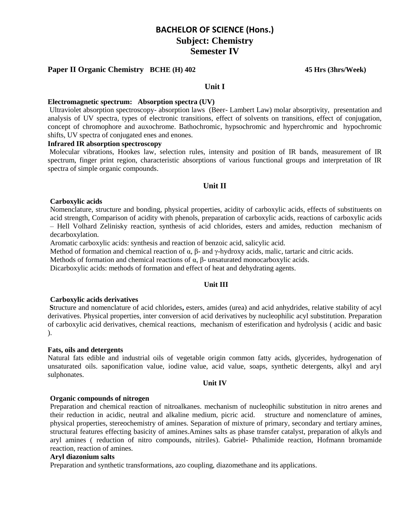#### **Paper II Organic Chemistry BCHE (H) 402 45 Hrs (3hrs/Week)**

#### **Unit I**

#### **Electromagnetic spectrum: Absorption spectra (UV)**

Ultraviolet absorption spectroscopy- absorption laws (Beer- Lambert Law) molar absorptivity, presentation and analysis of UV spectra, types of electronic transitions, effect of solvents on transitions, effect of conjugation, concept of chromophore and auxochrome. Bathochromic, hypsochromic and hyperchromic and hypochromic shifts, UV spectra of conjugated enes and enones.

#### **Infrared IR absorption spectroscopy**

Molecular vibrations, Hookes law, selection rules, intensity and position of IR bands, measurement of IR spectrum, finger print region, characteristic absorptions of various functional groups and interpretation of IR spectra of simple organic compounds.

#### **Unit II**

#### **Carboxylic acids**

Nomenclature, structure and bonding, physical properties, acidity of carboxylic acids, effects of substituents on acid strength, Comparison of acidity with phenols, preparation of carboxylic acids, reactions of carboxylic acids – Hell Volhard Zelinisky reaction, synthesis of acid chlorides, esters and amides, reduction mechanism of decarboxylation.

Aromatic carboxylic acids: synthesis and reaction of benzoic acid, salicylic acid.

Method of formation and chemical reaction of  $\alpha$ ,  $\beta$ - and  $\gamma$ -hydroxy acids, malic, tartaric and citric acids.

Methods of formation and chemical reactions of  $\alpha$ ,  $\beta$ - unsaturated monocarboxylic acids.

Dicarboxylic acids: methods of formation and effect of heat and dehydrating agents.

#### **Unit III**

#### **Carboxylic acids derivatives**

**S**tructure and nomenclature of acid chlorides**,** esters, amides (urea) and acid anhydrides, relative stability of acyl derivatives. Physical properties, inter conversion of acid derivatives by nucleophilic acyl substitution. Preparation of carboxylic acid derivatives, chemical reactions, mechanism of esterification and hydrolysis ( acidic and basic ).

#### **Fats, oils and detergents**

Natural fats edible and industrial oils of vegetable origin common fatty acids, glycerides, hydrogenation of unsaturated oils. saponification value, iodine value, acid value, soaps, synthetic detergents, alkyl and aryl sulphonates.

#### **Unit IV**

#### **Organic compounds of nitrogen**

Preparation and chemical reaction of nitroalkanes. mechanism of nucleophilic substitution in nitro arenes and their reduction in acidic, neutral and alkaline medium, picric acid. structure and nomenclature of amines, physical properties, stereochemistry of amines. Separation of mixture of primary, secondary and tertiary amines, structural features effecting basicity of amines.Amines salts as phase transfer catalyst, preparation of alkyls and aryl amines ( reduction of nitro compounds, nitriles). Gabriel- Pthalimide reaction, Hofmann bromamide reaction, reaction of amines.

#### **Aryl diazonium salts**

Preparation and synthetic transformations, azo coupling, diazomethane and its applications.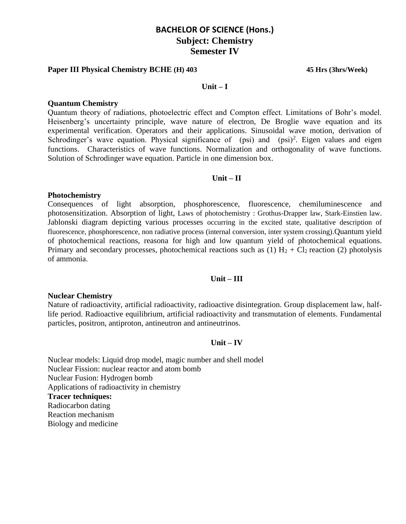#### **Paper III Physical Chemistry BCHE (H) 403 45 Hrs (3hrs/Week)**

#### **Unit – I**

#### **Quantum Chemistry**

Quantum theory of radiations, photoelectric effect and Compton effect. Limitations of Bohr's model. Heisenberg's uncertainty principle, wave nature of electron, De Broglie wave equation and its experimental verification. Operators and their applications. Sinusoidal wave motion, derivation of Schrodinger's wave equation. Physical significance of  $(psi)$  and  $(psi)^2$ . Eigen values and eigen functions. Characteristics of wave functions. Normalization and orthogonality of wave functions. Solution of Schrodinger wave equation. Particle in one dimension box.

#### **Unit – II**

#### **Photochemistry**

Consequences of light absorption, phosphorescence, fluorescence, chemiluminescence and photosensitization. Absorption of light, Laws of photochemistry : Grothus-Drapper law, Stark-Einstien law. Jablonski diagram depicting various processes occurring in the excited state, qualitative description of fluorescence, phosphorescence, non radiative process (internal conversion, inter system crossing).Quantum yield of photochemical reactions, reasona for high and low quantum yield of photochemical equations. Primary and secondary processes, photochemical reactions such as (1)  $H_2 + Cl_2$  reaction (2) photolysis of ammonia.

#### **Unit – III**

#### **Nuclear Chemistry**

Nature of radioactivity, artificial radioactivity, radioactive disintegration. Group displacement law, halflife period. Radioactive equilibrium, artificial radioactivity and transmutation of elements. Fundamental particles, positron, antiproton, antineutron and antineutrinos.

#### **Unit – IV**

Nuclear models: Liquid drop model, magic number and shell model Nuclear Fission: nuclear reactor and atom bomb Nuclear Fusion: Hydrogen bomb Applications of radioactivity in chemistry **Tracer techniques:** Radiocarbon dating Reaction mechanism Biology and medicine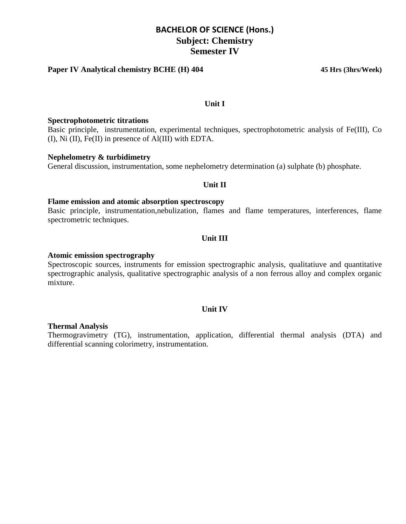#### **Paper IV Analytical chemistry BCHE (H) 404 45 Hrs (3hrs/Week)**

#### **Unit I**

#### **Spectrophotometric titrations**

Basic principle, instrumentation, experimental techniques, spectrophotometric analysis of Fe(III), Co (I), Ni (II), Fe(II) in presence of Al(III) with EDTA.

#### **Nephelometry & turbidimetry**

General discussion, instrumentation, some nephelometry determination (a) sulphate (b) phosphate.

#### **Unit II**

#### **Flame emission and atomic absorption spectroscopy**

Basic principle, instrumentation,nebulization, flames and flame temperatures, interferences, flame spectrometric techniques.

#### **Unit III**

#### **Atomic emission spectrography**

Spectroscopic sources, instruments for emission spectrographic analysis, qualitatiuve and quantitative spectrographic analysis, qualitative spectrographic analysis of a non ferrous alloy and complex organic mixture.

#### **Unit IV**

#### **Thermal Analysis**

Thermogravimetry (TG), instrumentation, application, differential thermal analysis (DTA) and differential scanning colorimetry, instrumentation.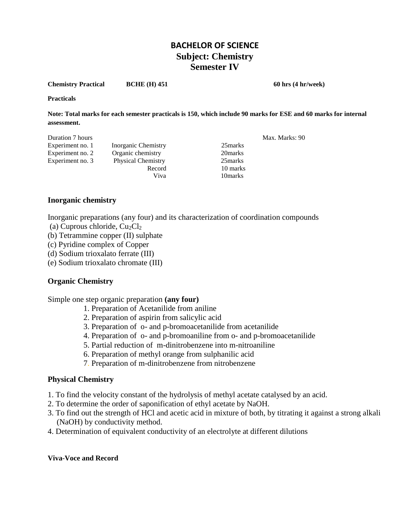**Chemistry Practical BCHE (H) 451 60 hrs (4 hr/week)** 

**Practicals** 

**Note: Total marks for each semester practicals is 150, which include 90 marks for ESE and 60 marks for internal assessment.**

| Duration 7 hours |                           |          | Max. Marks: 90 |
|------------------|---------------------------|----------|----------------|
| Experiment no. 1 | Inorganic Chemistry       | 25 marks |                |
| Experiment no. 2 | Organic chemistry         | 20 marks |                |
| Experiment no. 3 | <b>Physical Chemistry</b> | 25 marks |                |
|                  | Record                    | 10 marks |                |
|                  | Viva                      | 10 marks |                |

#### **Inorganic chemistry**

Inorganic preparations (any four) and its characterization of coordination compounds

- (a) Cuprous chloride,  $Cu<sub>2</sub>Cl<sub>2</sub>$
- (b) Tetrammine copper (II) sulphate
- (c) Pyridine complex of Copper
- (d) Sodium trioxalato ferrate (III)
- (e) Sodium trioxalato chromate (III)

#### **Organic Chemistry**

Simple one step organic preparation **(any four)**

- 1. Preparation of Acetanilide from aniline
- 2. Preparation of aspirin from salicylic acid
- 3. Preparation of o- and p-bromoacetanilide from acetanilide
- 4. Preparation of o- and p-bromoaniline from o- and p-bromoacetanilide
- 5. Partial reduction of m-dinitrobenzene into m-nitroaniline
- 6. Preparation of methyl orange from sulphanilic acid
- 7. Preparation of m-dinitrobenzene from nitrobenzene

#### **Physical Chemistry**

- 1. To find the velocity constant of the hydrolysis of methyl acetate catalysed by an acid.
- 2. To determine the order of saponification of ethyl acetate by NaOH.
- 3. To find out the strength of HCl and acetic acid in mixture of both, by titrating it against a strong alkali (NaOH) by conductivity method.
- 4. Determination of equivalent conductivity of an electrolyte at different dilutions

#### **Viva**-**Voce and Record**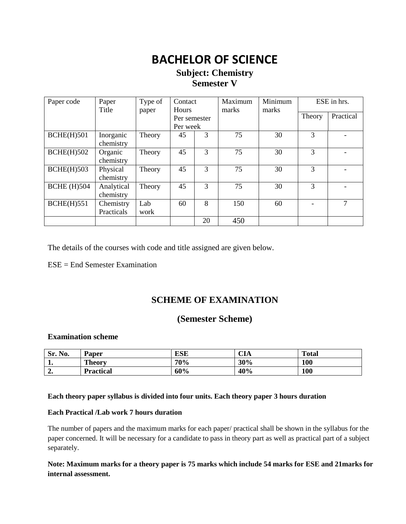## **BACHELOR OF SCIENCE**

### **Subject: Chemistry Semester V**

| Paper code         | Paper<br>Title          | Type of<br>paper | Contact<br><b>Hours</b>  |    | Maximum<br>marks | Minimum<br>marks | ESE in hrs. |           |
|--------------------|-------------------------|------------------|--------------------------|----|------------------|------------------|-------------|-----------|
|                    |                         |                  | Per semester<br>Per week |    |                  |                  | Theory      | Practical |
| <b>BCHE(H)501</b>  | Inorganic<br>chemistry  | Theory           | 45                       | 3  | 75               | 30               | 3           |           |
| <b>BCHE(H)502</b>  | Organic<br>chemistry    | Theory           | 45                       | 3  | 75               | 30               | 3           |           |
| $BCHE(H)$ 503      | Physical<br>chemistry   | Theory           | 45                       | 3  | 75               | 30               | 3           |           |
| <b>BCHE</b> (H)504 | Analytical<br>chemistry | Theory           | 45                       | 3  | 75               | 30               | 3           |           |
| <b>BCHE(H)551</b>  | Chemistry<br>Practicals | Lab<br>work      | 60                       | 8  | 150              | 60               |             | 7         |
|                    |                         |                  |                          | 20 | 450              |                  |             |           |

The details of the courses with code and title assigned are given below.

ESE = End Semester Examination

## **SCHEME OF EXAMINATION**

### **(Semester Scheme)**

#### **Examination scheme**

| No.<br>Sr. | Paper            | <b>ESE</b> | CIA | <b>Total</b> |
|------------|------------------|------------|-----|--------------|
| .          | <b>Theory</b>    | 70%        | 30% | 100          |
| ، د        | <b>Practical</b> | 60%        | 40% | 100          |

#### **Each theory paper syllabus is divided into four units. Each theory paper 3 hours duration**

#### **Each Practical /Lab work 7 hours duration**

The number of papers and the maximum marks for each paper/ practical shall be shown in the syllabus for the paper concerned. It will be necessary for a candidate to pass in theory part as well as practical part of a subject separately.

#### **Note: Maximum marks for a theory paper is 75 marks which include 54 marks for ESE and 21marks for internal assessment.**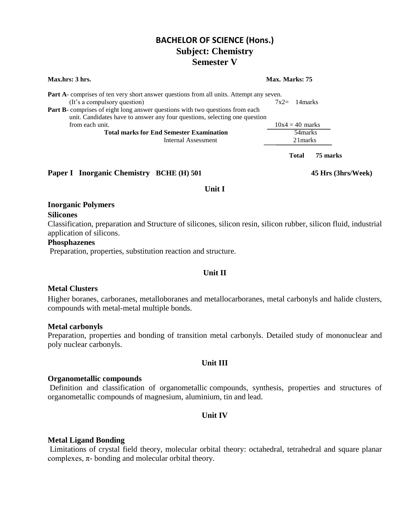| <b>Max.hrs: 3 hrs.</b>                                                                                                                                             | Max. Marks: 75 |                   |          |
|--------------------------------------------------------------------------------------------------------------------------------------------------------------------|----------------|-------------------|----------|
| <b>Part A</b> -comprises of ten very short answer questions from all units. Attempt any seven.                                                                     |                |                   |          |
| (It's a compulsory question)                                                                                                                                       |                | $7x2 = 14$ marks  |          |
| <b>Part B</b> -comprises of eight long answer questions with two questions from each<br>unit. Candidates have to answer any four questions, selecting one question |                |                   |          |
| from each unit.                                                                                                                                                    |                | $10x4 = 40$ marks |          |
| <b>Total marks for End Semester Examination</b>                                                                                                                    |                | 54 marks          |          |
| Internal Assessment                                                                                                                                                |                | 21 marks          |          |
|                                                                                                                                                                    |                | <b>Total</b>      | 75 marks |
|                                                                                                                                                                    |                |                   |          |

**Paper I Inorganic Chemistry BCHE (H) 501 45 Hrs (3hrs/Week)**

#### **Unit I**

#### **Inorganic Polymers**

**Silicones**

Classification, preparation and Structure of silicones, silicon resin, silicon rubber, silicon fluid, industrial application of silicons.

#### **Phosphazenes**

Preparation, properties, substitution reaction and structure.

#### **Unit II**

#### **Metal Clusters**

Higher boranes, carboranes, metalloboranes and metallocarboranes, metal carbonyls and halide clusters, compounds with metal-metal multiple bonds.

#### **Metal carbonyls**

Preparation, properties and bonding of transition metal carbonyls. Detailed study of mononuclear and poly nuclear carbonyls.

#### **Unit III**

#### **Organometallic compounds**

Definition and classification of organometallic compounds, synthesis, properties and structures of organometallic compounds of magnesium, aluminium, tin and lead.

#### **Unit IV**

#### **Metal Ligand Bonding**

Limitations of crystal field theory, molecular orbital theory: octahedral, tetrahedral and square planar complexes,  $\pi$ - bonding and molecular orbital theory.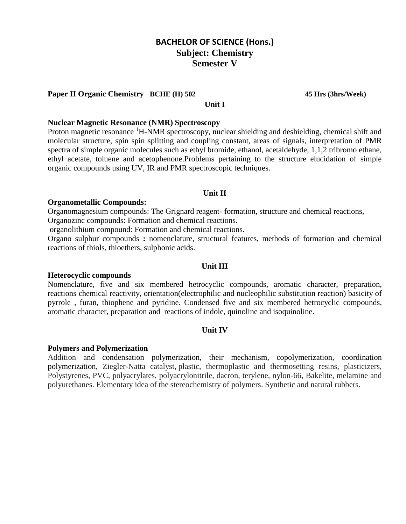#### **Paper II Organic Chemistry BCHE (H) 502 45 Hrs (3hrs/Week)**

#### **Unit I**

#### **Nuclear Magnetic Resonance (NMR) Spectroscopy**

Proton magnetic resonance <sup>1</sup>H-NMR spectroscopy, nuclear shielding and deshielding, chemical shift and molecular structure, spin spin splitting and coupling constant, areas of signals, interpretation of PMR spectra of simple organic molecules such as ethyl bromide, ethanol, acetaldehyde, 1,1,2 tribromo ethane, ethyl acetate, toluene and acetophenone.Problems pertaining to the structure elucidation of simple organic compounds using UV, IR and PMR spectroscopic techniques.

#### **Unit II**

#### **Organometallic Compounds:**

Organomagnesium compounds: The Grignard reagent- formation, structure and chemical reactions, Organozinc compounds: Formation and chemical reactions.

organolithium compound: Formation and chemical reactions.

Organo sulphur compounds **:** nomenclature, structural features, methods of formation and chemical reactions of thiols, thioethers, sulphonic acids.

#### **Unit III**

#### **Heterocyclic compounds**

Nomenclature, five and six membered hetrocyclic compounds, aromatic character, preparation, reactions chemical reactivity, orientation(electrophilic and nucleophilic substitution reaction) basicity of pyrrole , furan, thiophene and pyridine. Condensed five and six membered hetrocyclic compounds, aromatic character, preparation and reactions of indole, quinoline and isoquinoline.

#### **Unit IV**

#### **Polymers and Polymerization**

Addition and [condensation polymerization,](http://www.britannica.com/science/condensation-polymerization) their mechanism, copolymerization, coordination polymerization, Ziegler-Natta catalyst, plastic, thermoplastic and thermosetting resins, plasticizers, Polystyrenes, PVC, polyacrylates, polyacrylonitrile, dacron, terylene, nylon-66, Bakelite, melamine and polyurethanes. Elementary idea of the stereochemistry of polymers. Synthetic and natural rubbers.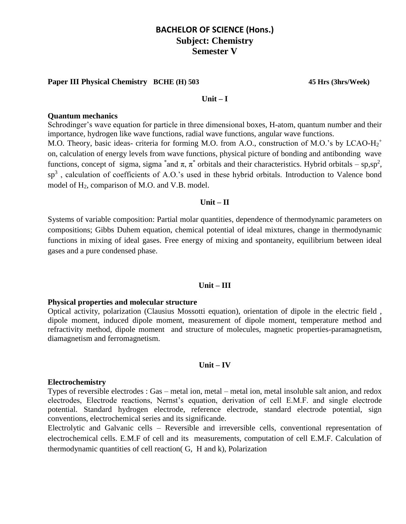#### **Paper III Physical Chemistry BCHE (H) 503 45 Hrs (3hrs/Week)**

#### **Unit – I**

#### **Quantum mechanics**

Schrodinger's wave equation for particle in three dimensional boxes, H-atom, quantum number and their importance, hydrogen like wave functions, radial wave functions, angular wave functions. M.O. Theory, basic ideas- criteria for forming M.O. from A.O., construction of M.O.'s by LCAO-H<sub>2</sub><sup>+</sup> on, calculation of energy levels from wave functions, physical picture of bonding and antibonding wave functions, concept of sigma, sigma  $*$  and  $\pi$ ,  $\pi^*$  orbitals and their characteristics. Hybrid orbitals – sp,sp<sup>2</sup>, sp<sup>3</sup>, calculation of coefficients of A.O.'s used in these hybrid orbitals. Introduction to Valence bond model of H2, comparison of M.O. and V.B. model.

#### **Unit – II**

Systems of variable composition: Partial molar quantities, dependence of thermodynamic parameters on compositions; Gibbs Duhem equation, chemical potential of ideal mixtures, change in thermodynamic functions in mixing of ideal gases. Free energy of mixing and spontaneity, equilibrium between ideal gases and a pure condensed phase.

#### **Unit – III**

#### **Physical properties and molecular structure**

Optical activity, polarization (Clausius Mossotti equation), orientation of dipole in the electric field , dipole moment, induced dipole moment, measurement of dipole moment, temperature method and refractivity method, dipole moment and structure of molecules, magnetic properties-paramagnetism, diamagnetism and ferromagnetism.

#### **Unit – IV**

#### **Electrochemistry**

Types of reversible electrodes : Gas – metal ion, metal – metal ion, metal insoluble salt anion, and redox electrodes, Electrode reactions, Nernst's equation, derivation of cell E.M.F. and single electrode potential. Standard hydrogen electrode, reference electrode, standard electrode potential, sign conventions, electrochemical series and its significande.

Electrolytic and Galvanic cells – Reversible and irreversible cells, conventional representation of electrochemical cells. E.M.F of cell and its measurements, computation of cell E.M.F. Calculation of thermodynamic quantities of cell reaction( G, H and k), Polarization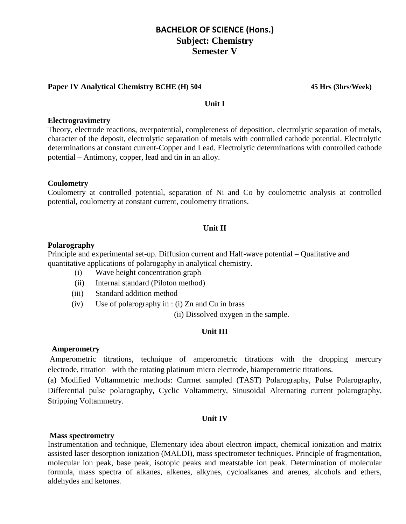#### **Paper IV Analytical Chemistry BCHE (H) 504 45 Hrs (3hrs/Week)**

#### **Unit I**

#### **Electrogravimetry**

Theory, electrode reactions, overpotential, completeness of deposition, electrolytic separation of metals, character of the deposit, electrolytic separation of metals with controlled cathode potential. Electrolytic determinations at constant current-Copper and Lead. Electrolytic determinations with controlled cathode potential – Antimony, copper, lead and tin in an alloy.

#### **Coulometry**

Coulometry at controlled potential, separation of Ni and Co by coulometric analysis at controlled potential, coulometry at constant current, coulometry titrations.

#### **Unit II**

#### **Polarography**

Principle and experimental set-up. Diffusion current and Half-wave potential – Qualitative and quantitative applications of polarogaphy in analytical chemistry.

- (i) Wave height concentration graph
- (ii) Internal standard (Piloton method)
- (iii) Standard addition method
- (iv) Use of polarography in : (i) Zn and Cu in brass

(ii) Dissolved oxygen in the sample.

#### **Unit III**

#### **Amperometry**

Amperometric titrations, technique of amperometric titrations with the dropping mercury electrode, titration with the rotating platinum micro electrode, biamperometric titrations.

(a) Modified Voltammetric methods: Currnet sampled (TAST) Polarography, Pulse Polarography, Differential pulse polarography, Cyclic Voltammetry, Sinusoidal Alternating current polarography, Stripping Voltammetry.

#### **Unit IV**

#### **Mass spectrometry**

Instrumentation and technique, Elementary idea about electron impact, chemical ionization and matrix assisted laser desorption ionization (MALDI), mass spectrometer techniques. Principle of fragmentation, molecular ion peak, base peak, isotopic peaks and meatstable ion peak. Determination of molecular formula, mass spectra of alkanes, alkenes, alkynes, cycloalkanes and arenes, alcohols and ethers, aldehydes and ketones.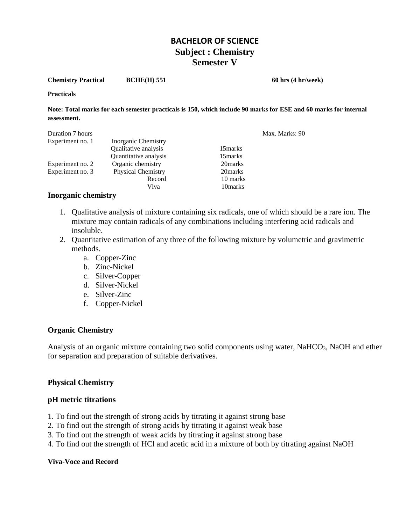**Chemistry Practical BCHE(H) 551 60 hrs (4 hr/week)** 

**Practicals** 

**Note: Total marks for each semester practicals is 150, which include 90 marks for ESE and 60 marks for internal assessment.**

|                           |          | Max. Marks: 90 |
|---------------------------|----------|----------------|
| Inorganic Chemistry       |          |                |
| Qualitative analysis      | 15 marks |                |
| Quantitative analysis     | 15 marks |                |
| Organic chemistry         | 20 marks |                |
| <b>Physical Chemistry</b> | 20 marks |                |
| Record                    | 10 marks |                |
| Viva                      | 10 marks |                |
|                           |          |                |

#### **Inorganic chemistry**

- 1. Qualitative analysis of mixture containing six radicals, one of which should be a rare ion. The mixture may contain radicals of any combinations including interfering acid radicals and insoluble.
- 2. Quantitative estimation of any three of the following mixture by volumetric and gravimetric methods.
	- a. Copper-Zinc
	- b. Zinc-Nickel
	- c. Silver-Copper
	- d. Silver-Nickel
	- e. Silver-Zinc
	- f. Copper-Nickel

#### **Organic Chemistry**

Analysis of an organic mixture containing two solid components using water, NaHCO<sub>3</sub>, NaOH and ether for separation and preparation of suitable derivatives.

#### **Physical Chemistry**

#### **pH metric titrations**

- 1. To find out the strength of strong acids by titrating it against strong base
- 2. To find out the strength of strong acids by titrating it against weak base
- 3. To find out the strength of weak acids by titrating it against strong base
- 4. To find out the strength of HCl and acetic acid in a mixture of both by titrating against NaOH

#### **Viva**-**Voce and Record**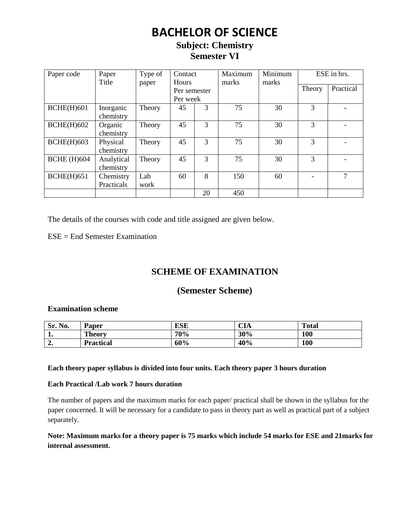## **BACHELOR OF SCIENCE**

## **Subject: Chemistry Semester VI**

| Paper code         | Paper<br>Title          | Type of<br>paper | Contact<br><b>Hours</b>  |    | Maximum<br>marks | Minimum<br>marks |               | ESE in hrs. |
|--------------------|-------------------------|------------------|--------------------------|----|------------------|------------------|---------------|-------------|
|                    |                         |                  | Per semester<br>Per week |    |                  |                  | Theory        | Practical   |
| <b>BCHE(H)601</b>  | Inorganic<br>chemistry  | Theory           | 45                       | 3  | 75               | 30               | 3             |             |
| <b>BCHE(H)602</b>  | Organic<br>chemistry    | Theory           | 45                       | 3  | 75               | 30               | $\mathcal{R}$ |             |
| BCHE(H)603         | Physical<br>chemistry   | Theory           | 45                       | 3  | 75               | 30               | 3             |             |
| <b>BCHE</b> (H)604 | Analytical<br>chemistry | Theory           | 45                       | 3  | 75               | 30               | 3             |             |
| $BCHE(H)$ 651      | Chemistry<br>Practicals | Lab<br>work      | 60                       | 8  | 150              | 60               |               | 7           |
|                    |                         |                  |                          | 20 | 450              |                  |               |             |

The details of the courses with code and title assigned are given below.

ESE = End Semester Examination

## **SCHEME OF EXAMINATION**

## **(Semester Scheme)**

#### **Examination scheme**

| Sr. No. | Paper            | <b>ESE</b> | $\sim$ $\sim$<br>- UIA | <b>Total</b> |
|---------|------------------|------------|------------------------|--------------|
| . .     | <b>Theory</b>    | 70%        | 30%                    | 100          |
| ، د     | <b>Practical</b> | 60%        | 40%                    | 100          |

#### **Each theory paper syllabus is divided into four units. Each theory paper 3 hours duration**

#### **Each Practical /Lab work 7 hours duration**

The number of papers and the maximum marks for each paper/ practical shall be shown in the syllabus for the paper concerned. It will be necessary for a candidate to pass in theory part as well as practical part of a subject separately.

### **Note: Maximum marks for a theory paper is 75 marks which include 54 marks for ESE and 21marks for internal assessment.**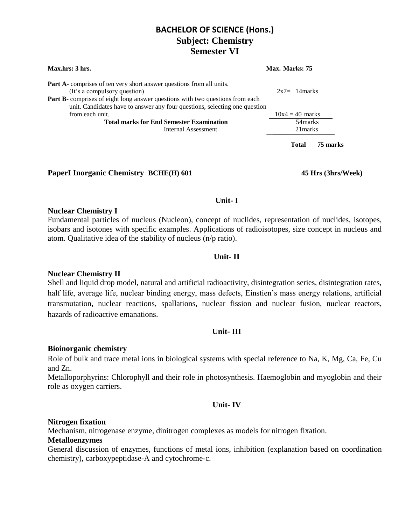| Max.hrs: 3 hrs.                                                                                                                                                                                                                                                            | Max. Marks: 75    |          |  |  |
|----------------------------------------------------------------------------------------------------------------------------------------------------------------------------------------------------------------------------------------------------------------------------|-------------------|----------|--|--|
| <b>Part A</b> -comprises of ten very short answer questions from all units.<br>(It's a compulsory question)<br>Part B- comprises of eight long answer questions with two questions from each<br>unit. Candidates have to answer any four questions, selecting one question | $2x7=14$ marks    |          |  |  |
| from each unit.                                                                                                                                                                                                                                                            | $10x4 = 40$ marks |          |  |  |
| <b>Total marks for End Semester Examination</b>                                                                                                                                                                                                                            | 54 marks          |          |  |  |
| Internal Assessment                                                                                                                                                                                                                                                        | 21 marks          |          |  |  |
|                                                                                                                                                                                                                                                                            | <b>Total</b>      | 75 marks |  |  |

#### **PaperI Inorganic Chemistry BCHE(H) 601 45 Hrs (3hrs/Week)**

#### **Unit- I**

#### **Nuclear Chemistry I**

Fundamental particles of nucleus (Nucleon), concept of nuclides, representation of nuclides, isotopes, isobars and isotones with specific examples. Applications of radioisotopes, size concept in nucleus and atom. Qualitative idea of the stability of nucleus (n/p ratio).

#### **Unit- II**

#### **Nuclear Chemistry II**

Shell and liquid drop model, natural and artificial radioactivity, disintegration series, disintegration rates, half life, average life, nuclear binding energy, mass defects, Einstien's mass energy relations, artificial transmutation, nuclear reactions, spallations, nuclear fission and nuclear fusion, nuclear reactors, hazards of radioactive emanations.

#### **Unit- III**

#### **Bioinorganic chemistry**

Role of bulk and trace metal ions in biological systems with special reference to Na, K, Mg, Ca, Fe, Cu and Zn.

Metalloporphyrins: Chlorophyll and their role in photosynthesis. Haemoglobin and myoglobin and their role as oxygen carriers.

#### **Unit- IV**

#### **Nitrogen fixation**

Mechanism, nitrogenase enzyme, dinitrogen complexes as models for nitrogen fixation.

#### **Metalloenzymes**

General discussion of enzymes, functions of metal ions, inhibition (explanation based on coordination chemistry), carboxypeptidase-A and cytochrome-c.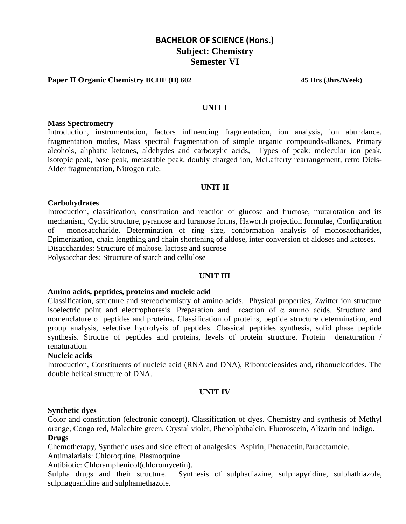#### **Paper II Organic Chemistry BCHE (H) 602 45 Hrs (3hrs/Week)**

#### **UNIT I**

#### **Mass Spectrometry**

Introduction, instrumentation, factors influencing fragmentation, ion analysis, ion abundance. fragmentation modes, Mass spectral fragmentation of simple organic compounds-alkanes, Primary alcohols, aliphatic ketones, aldehydes and carboxylic acids, Types of peak: molecular ion peak, isotopic peak, base peak, metastable peak, doubly charged ion, McLafferty rearrangement, retro Diels-Alder fragmentation, Nitrogen rule.

#### **UNIT II**

#### **Carbohydrates**

Introduction, classification, constitution and reaction of glucose and fructose, mutarotation and its mechanism, Cyclic structure, pyranose and furanose forms, Haworth projection formulae, Configuration of monosaccharide. Determination of ring size, conformation analysis of monosaccharides, Epimerization, chain lengthing and chain shortening of aldose, inter conversion of aldoses and ketoses. Disaccharides: Structure of maltose, lactose and sucrose

Polysaccharides: Structure of starch and cellulose

#### **UNIT III**

#### **Amino acids, peptides, proteins and nucleic acid**

Classification, structure and stereochemistry of amino acids. Physical properties, Zwitter ion structure isoelectric point and electrophoresis. Preparation and reaction of α amino acids. Structure and nomenclature of peptides and proteins. Classification of proteins, peptide structure determination, end group analysis, selective hydrolysis of peptides. Classical peptides synthesis, solid phase peptide synthesis. Structre of peptides and proteins, levels of protein structure. Protein denaturation / renaturation.

#### **Nucleic acids**

Introduction, Constituents of nucleic acid (RNA and DNA), Ribonucieosides and, ribonucleotides. The double helical structure of DNA.

#### **UNIT IV**

#### **Synthetic dyes**

Color and constitution (electronic concept). Classification of dyes. Chemistry and synthesis of Methyl orange, Congo red, Malachite green, Crystal violet, Phenolphthalein, Fluoroscein, Alizarin and Indigo. **Drugs**

Chemotherapy, Synthetic uses and side effect of analgesics: Aspirin, Phenacetin,Paracetamole.

Antimalarials: Chloroquine, Plasmoquine.

Antibiotic: Chloramphenicol(chloromycetin).

Sulpha drugs and their structure. Synthesis of sulphadiazine, sulphapyridine, sulphathiazole, sulphaguanidine and sulphamethazole.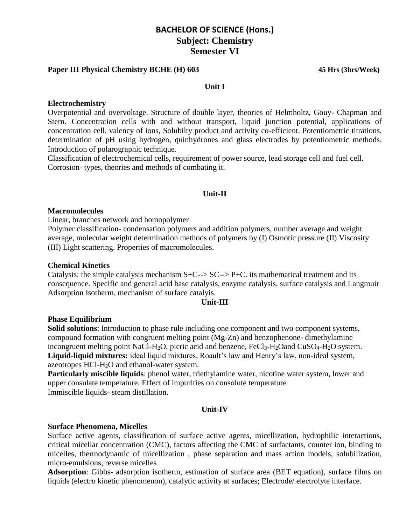#### **Paper III Physical Chemistry BCHE (H) 603 45 Hrs (3hrs/Week)**

#### **Unit I**

#### **Electrochemistry**

Overpotential and overvoltage. Structure of double layer, theories of Helmholtz, Gouy- Chapman and Stern. Concentration cells with and without transport, liquid junction potential, applications of concentration cell, valency of ions, Solubilty product and activity co-efficient. Potentiometric titrations, determination of pH using hydrogen, quinhydrones and glass electrodes by potentiometric methods. Introduction of polarographic technique.

Classification of electrochemical cells, requirement of power source, lead storage cell and fuel cell. Corrosion- types, theories and methods of combating it.

#### **Unit-II**

#### **Macromolecules**

Linear, branches network and homopolymer

Polymer classification- condensation polymers and addition polymers, number average and weight average, molecular weight determination methods of polymers by (I) Osmotic pressure (II) Viscosity (III) Light scattering. Properties of macromolecules.

#### **Chemical Kinetics**

Catalysis: the simple catalysis mechanism  $S+C\rightarrow SC\rightarrow P+C$ . its mathematical treatment and its consequence. Specific and general acid base catalysis, enzyme catalysis, surface catalysis and Langmuir Adsorption Isotherm, mechanism of surface catalyis.

#### **Unit-III**

#### **Phase Equilibrium**

**Solid solutions**: Introduction to phase rule including one component and two component systems, compound formation with congruent melting point (Mg-Zn) and benzophenone- dimethylamine incongruent melting point NaCl-H<sub>2</sub>O, picric acid and benzene,  $FeCl<sub>3</sub>-H<sub>2</sub>O$  and  $CuSO<sub>4</sub>-H<sub>2</sub>O$  system. **Liquid-liquid mixtures:** ideal liquid mixtures, Roault's law and Henry's law, non-ideal system, azeotropes HCl-H2O and ethanol-water system.

**Particularly miscible liquids**: phenol water, triethylamine water, nicotine water system, lower and upper consulate temperature. Effect of impurities on consolute temperature Immiscible liquids- steam distillation.

#### **Unit-IV**

#### **Surface Phenomena, Micelles**

Surface active agents, classification of surface active agents, micellization, hydrophilic interactions, critical micellar concentration (CMC), factors affecting the CMC of surfactants, counter ion, binding to micelles, thermodynamic of micellization , phase separation and mass action models, solubilization, micro-emulsions, reverse micelles

**Adsorption**: Gibbs- adsorption isotherm, estimation of surface area (BET equation), surface films on liquids (electro kinetic phenomenon), catalytic activity at surfaces; Electrode/ electrolyte interface.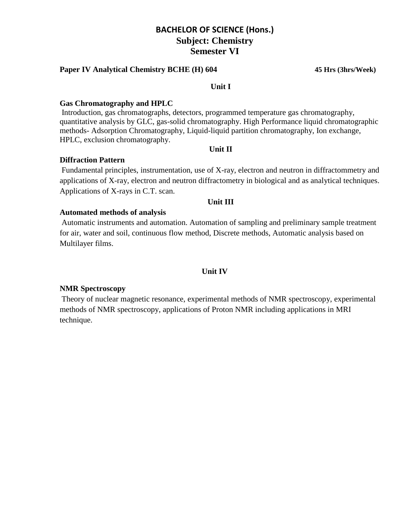#### **Paper IV Analytical Chemistry BCHE (H) 604 45 Hrs (3hrs/Week)**

#### **Unit I**

#### **Gas Chromatography and HPLC**

Introduction, gas chromatographs, detectors, programmed temperature gas chromatography, quantitative analysis by GLC, gas-solid chromatography. High Performance liquid chromatographic methods- Adsorption Chromatography, Liquid-liquid partition chromatography, Ion exchange, HPLC, exclusion chromatography.

**Unit II**

#### **Diffraction Pattern**

Fundamental principles, instrumentation, use of X-ray, electron and neutron in diffractommetry and applications of X-ray, electron and neutron diffractometry in biological and as analytical techniques. Applications of X-rays in C.T. scan.

#### **Unit III**

#### **Automated methods of analysis**

Automatic instruments and automation. Automation of sampling and preliminary sample treatment for air, water and soil, continuous flow method, Discrete methods, Automatic analysis based on Multilayer films.

#### **Unit IV**

#### **NMR Spectroscopy**

Theory of nuclear magnetic resonance, experimental methods of NMR spectroscopy, experimental methods of NMR spectroscopy, applications of Proton NMR including applications in MRI technique.